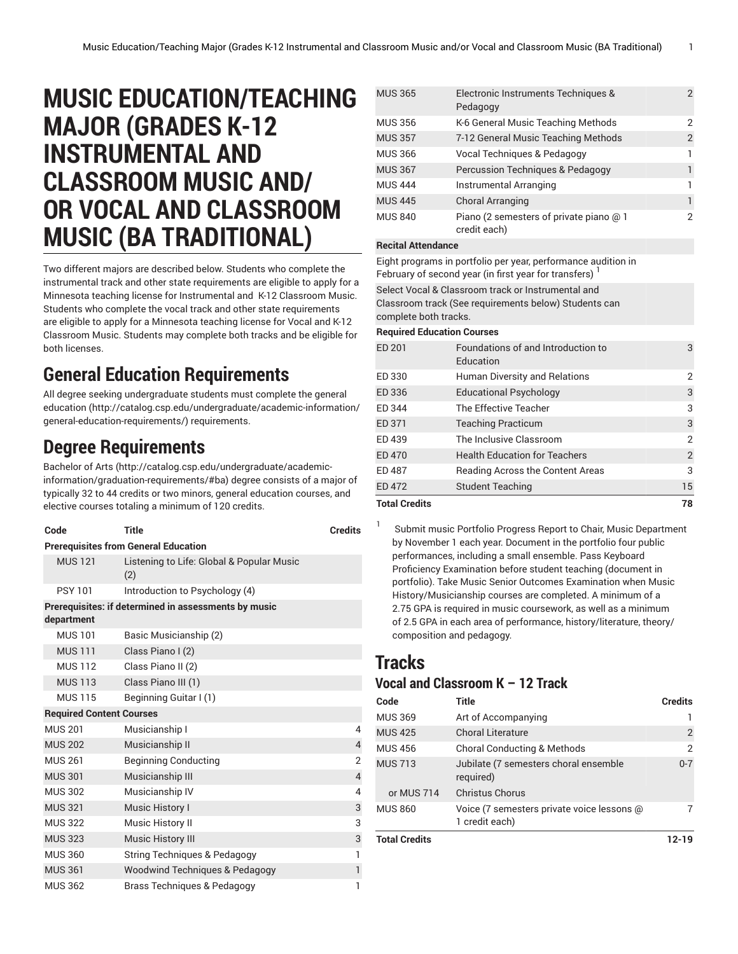# **MUSIC EDUCATION/TEACHING MAJOR (GRADES K-12 INSTRUMENTAL AND CLASSROOM MUSIC AND/ OR VOCAL AND CLASSROOM MUSIC (BA TRADITIONAL)**

Two different majors are described below. Students who complete the instrumental track and other state requirements are eligible to apply for a Minnesota teaching license for Instrumental and K-12 Classroom Music. Students who complete the vocal track and other state requirements are eligible to apply for a Minnesota teaching license for Vocal and K-12 Classroom Music. Students may complete both tracks and be eligible for both licenses.

## **General Education Requirements**

All degree seeking undergraduate students must complete the [general](http://catalog.csp.edu/undergraduate/academic-information/general-education-requirements/) [education \(http://catalog.csp.edu/undergraduate/academic-information/](http://catalog.csp.edu/undergraduate/academic-information/general-education-requirements/) [general-education-requirements/\)](http://catalog.csp.edu/undergraduate/academic-information/general-education-requirements/) requirements.

## **Degree Requirements**

[Bachelor](http://catalog.csp.edu/undergraduate/academic-information/graduation-requirements/#ba) of Arts ([http://catalog.csp.edu/undergraduate/academic](http://catalog.csp.edu/undergraduate/academic-information/graduation-requirements/#ba)[information/graduation-requirements/#ba](http://catalog.csp.edu/undergraduate/academic-information/graduation-requirements/#ba)) degree consists of a major of typically 32 to 44 credits or two minors, general education courses, and elective courses totaling a minimum of 120 credits.

| Code                                        | <b>Title</b>                                         | <b>Credits</b> |  |
|---------------------------------------------|------------------------------------------------------|----------------|--|
| <b>Prerequisites from General Education</b> |                                                      |                |  |
| <b>MUS 121</b>                              | Listening to Life: Global & Popular Music<br>(2)     |                |  |
| <b>PSY 101</b>                              | Introduction to Psychology (4)                       |                |  |
|                                             | Prerequisites: if determined in assessments by music |                |  |
| department                                  |                                                      |                |  |
| <b>MUS 101</b>                              | Basic Musicianship (2)                               |                |  |
| <b>MUS 111</b>                              | Class Piano I (2)                                    |                |  |
| <b>MUS 112</b>                              | Class Piano II (2)                                   |                |  |
| <b>MUS 113</b>                              | Class Piano III (1)                                  |                |  |
| <b>MUS 115</b>                              | Beginning Guitar I (1)                               |                |  |
| <b>Required Content Courses</b>             |                                                      |                |  |
| <b>MUS 201</b>                              | Musicianship I                                       | 4              |  |
| <b>MUS 202</b>                              | Musicianship II                                      | $\overline{4}$ |  |
| <b>MUS 261</b>                              | <b>Beginning Conducting</b>                          | $\overline{2}$ |  |
| <b>MUS 301</b>                              | Musicianship III                                     | $\overline{4}$ |  |
| <b>MUS 302</b>                              | Musicianship IV                                      | 4              |  |
| <b>MUS 321</b>                              | Music History I                                      | 3              |  |
| <b>MUS 322</b>                              | Music History II                                     | 3              |  |
| <b>MUS 323</b>                              | <b>Music History III</b>                             | 3              |  |
| <b>MUS 360</b>                              | <b>String Techniques &amp; Pedagogy</b>              | 1              |  |
| <b>MUS 361</b>                              | <b>Woodwind Techniques &amp; Pedagogy</b>            | 1              |  |
| <b>MUS 362</b>                              | Brass Techniques & Pedagogy                          | 1              |  |

| <b>MUS 365</b> | Electronic Instruments Techniques &<br>Pedagogy         | 2 |
|----------------|---------------------------------------------------------|---|
| <b>MUS 356</b> | K-6 General Music Teaching Methods                      | 2 |
| <b>MUS 357</b> | 7-12 General Music Teaching Methods                     | 2 |
| <b>MUS 366</b> | Vocal Techniques & Pedagogy                             |   |
| <b>MUS 367</b> | Percussion Techniques & Pedagogy                        |   |
| <b>MUS 444</b> | Instrumental Arranging                                  |   |
| <b>MUS 445</b> | <b>Choral Arranging</b>                                 |   |
| <b>MUS 840</b> | Piano (2 semesters of private piano @ 1<br>credit each) | 2 |

#### **Recital Attendance**

Eight programs in portfolio per year, performance audition in February of second year (in first year for transfers)  $^\mathrm{l}$ 

Select Vocal & Classroom track or Instrumental and Classroom track (See requirements below) Students can

complete both tracks.

### **Required Education Courses**

| <b>Total Credits</b> |                                                 | 78             |
|----------------------|-------------------------------------------------|----------------|
| ED 472               | <b>Student Teaching</b>                         | 15             |
| ED 487               | Reading Across the Content Areas                | 3              |
| ED 470               | <b>Health Education for Teachers</b>            | $\overline{2}$ |
| ED 439               | The Inclusive Classroom                         | $\overline{2}$ |
| ED 371               | <b>Teaching Practicum</b>                       | 3              |
| ED 344               | The Effective Teacher                           | 3              |
| ED 336               | <b>Educational Psychology</b>                   | 3              |
| ED 330               | Human Diversity and Relations                   | 2              |
| ED 201               | Foundations of and Introduction to<br>Education | 3              |

Submit music Portfolio Progress Report to Chair, Music Department by November 1 each year. Document in the portfolio four public performances, including a small ensemble. Pass Keyboard Proficiency Examination before student teaching (document in portfolio). Take Music Senior Outcomes Examination when Music History/Musicianship courses are completed. A minimum of a 2.75 GPA is required in music coursework, as well as a minimum of 2.5 GPA in each area of performance, history/literature, theory/ composition and pedagogy.

## **Tracks**

1

## **Vocal and Classroom K – 12 Track**

| Code                 | <b>Title</b>                                                 | <b>Credits</b> |
|----------------------|--------------------------------------------------------------|----------------|
| <b>MUS 369</b>       | Art of Accompanying                                          |                |
| <b>MUS 425</b>       | <b>Choral Literature</b>                                     | 2              |
| <b>MUS 456</b>       | <b>Choral Conducting &amp; Methods</b>                       | 2              |
| <b>MUS 713</b>       | Jubilate (7 semesters choral ensemble<br>required)           | $0 - 7$        |
| or MUS 714           | <b>Christus Chorus</b>                                       |                |
| <b>MUS 860</b>       | Voice (7 semesters private voice lessons @<br>1 credit each) |                |
| <b>Total Credits</b> |                                                              | 12-19          |